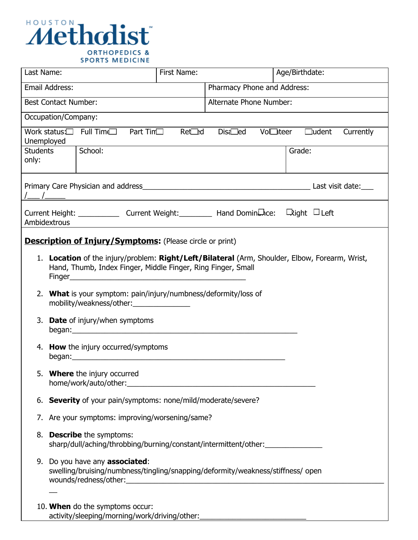

| Last Name:                                    |                                                                                                                                                                                                                                                                          | First Name:   |                             | Age/Birthdate:                        |  |  |  |  |  |
|-----------------------------------------------|--------------------------------------------------------------------------------------------------------------------------------------------------------------------------------------------------------------------------------------------------------------------------|---------------|-----------------------------|---------------------------------------|--|--|--|--|--|
|                                               | Email Address:                                                                                                                                                                                                                                                           |               | Pharmacy Phone and Address: |                                       |  |  |  |  |  |
|                                               | <b>Best Contact Number:</b>                                                                                                                                                                                                                                              |               | Alternate Phone Number:     |                                       |  |  |  |  |  |
|                                               | Occupation/Company:                                                                                                                                                                                                                                                      |               |                             |                                       |  |  |  |  |  |
|                                               | Work status:□ Full Time□<br>Part Tim <sub>[1</sub> ]                                                                                                                                                                                                                     | Ret <b>ed</b> | Disa <sub>d</sub>           | Vol□teer<br>$\Box$ udent<br>Currently |  |  |  |  |  |
| Unemployed                                    |                                                                                                                                                                                                                                                                          |               |                             |                                       |  |  |  |  |  |
| School:<br><b>Students</b><br>Grade:<br>only: |                                                                                                                                                                                                                                                                          |               |                             |                                       |  |  |  |  |  |
|                                               |                                                                                                                                                                                                                                                                          |               |                             |                                       |  |  |  |  |  |
|                                               | Current Height: ______________ Current Weight: ___________ Hand DominLhce: Light □ Left<br>Ambidextrous                                                                                                                                                                  |               |                             |                                       |  |  |  |  |  |
|                                               |                                                                                                                                                                                                                                                                          |               |                             |                                       |  |  |  |  |  |
|                                               | <b>Description of Injury/Symptoms:</b> (Please circle or print)                                                                                                                                                                                                          |               |                             |                                       |  |  |  |  |  |
|                                               | 1. Location of the injury/problem: Right/Left/Bilateral (Arm, Shoulder, Elbow, Forearm, Wrist,<br>Hand, Thumb, Index Finger, Middle Finger, Ring Finger, Small                                                                                                           |               |                             |                                       |  |  |  |  |  |
|                                               |                                                                                                                                                                                                                                                                          |               |                             |                                       |  |  |  |  |  |
|                                               | 2. What is your symptom: pain/injury/numbness/deformity/loss of<br>mobility/weakness/other:                                                                                                                                                                              |               |                             |                                       |  |  |  |  |  |
|                                               | 3. <b>Date</b> of injury/when symptoms<br>began: experience and a series of the series of the series of the series of the series of the series of the series of the series of the series of the series of the series of the series of the series of the series of the se |               |                             |                                       |  |  |  |  |  |
|                                               | 4. How the injury occurred/symptoms                                                                                                                                                                                                                                      |               |                             |                                       |  |  |  |  |  |
|                                               | 5. Where the injury occurred<br>home/work/auto/other: will be a series of the series of the series of the series of the series of the series of the series of the series of the series of the series of the series of the series of the series of the series o           |               |                             |                                       |  |  |  |  |  |
|                                               | 6. Severity of your pain/symptoms: none/mild/moderate/severe?                                                                                                                                                                                                            |               |                             |                                       |  |  |  |  |  |
|                                               | 7. Are your symptoms: improving/worsening/same?                                                                                                                                                                                                                          |               |                             |                                       |  |  |  |  |  |
|                                               | 8. Describe the symptoms:<br>sharp/dull/aching/throbbing/burning/constant/intermittent/other:                                                                                                                                                                            |               |                             |                                       |  |  |  |  |  |
|                                               | 9. Do you have any associated:<br>swelling/bruising/numbness/tingling/snapping/deformity/weakness/stiffness/ open                                                                                                                                                        |               |                             |                                       |  |  |  |  |  |
|                                               |                                                                                                                                                                                                                                                                          |               |                             |                                       |  |  |  |  |  |
|                                               | 10. When do the symptoms occur:<br>activity/sleeping/morning/work/driving/other:_                                                                                                                                                                                        |               |                             |                                       |  |  |  |  |  |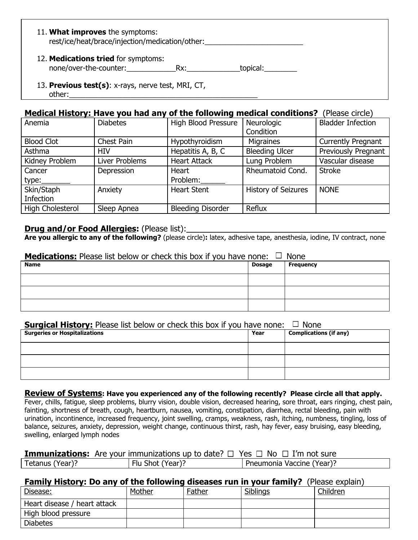## 11. **What improves** the symptoms:

rest/ice/heat/brace/injection/medication/other:

### 12. **Medications tried** for symptoms:

none/over-the-counter: external resolution one opical:

13. **Previous test(s)**: x-rays, nerve test, MRI, CT, other:\_\_\_\_\_\_\_\_\_\_\_\_\_\_\_\_\_\_\_\_\_\_\_\_\_\_\_\_\_\_\_\_\_\_\_\_\_\_\_\_\_\_\_\_\_\_

# **Medical History: Have you had any of the following medical conditions?** (Please circle)

| Anemia            | <b>Diabetes</b> | <b>High Blood Pressure</b> | Neurologic                 | <b>Bladder Infection</b>  |
|-------------------|-----------------|----------------------------|----------------------------|---------------------------|
|                   |                 |                            |                            |                           |
|                   |                 |                            | Condition                  |                           |
| <b>Blood Clot</b> | Chest Pain      | Hypothyroidism             | <b>Migraines</b>           | <b>Currently Pregnant</b> |
| Asthma            | HIV             | Hepatitis A, B, C          | <b>Bleeding Ulcer</b>      | Previously Pregnant       |
| Kidney Problem    | Liver Problems  | <b>Heart Attack</b>        | Lung Problem               | Vascular disease          |
| Cancer            | Depression      | Heart                      | Rheumatoid Cond.           | <b>Stroke</b>             |
| type:             |                 | Problem:                   |                            |                           |
| Skin/Staph        | Anxiety         | <b>Heart Stent</b>         | <b>History of Seizures</b> | <b>NONE</b>               |
| <b>Infection</b>  |                 |                            |                            |                           |
| High Cholesterol  | Sleep Apnea     | <b>Bleeding Disorder</b>   | Reflux                     |                           |

# **Drug and/or Food Allergies:** (Please list):

**Are you allergic to any of the following?** (please circle)**:** latex, adhesive tape, anesthesia, iodine, IV contract, none

### **Medications:** Please list below or check this box if you have none:  $\Box$  None

| <b>Name</b> | <b>Dosage</b> | <b>Frequency</b> |
|-------------|---------------|------------------|
|             |               |                  |
|             |               |                  |
|             |               |                  |

### **Surgical History:** Please list below or check this box if you have none:  $\Box$  None

| <b>Surgeries or Hospitalizations</b> | Year | <b>Complications (if any)</b> |
|--------------------------------------|------|-------------------------------|
|                                      |      |                               |
|                                      |      |                               |
|                                      |      |                               |

#### **Review of Systems: Have you experienced any of the following recently? Please circle all that apply.**

Fever, chills, fatigue, sleep problems, blurry vision, double vision, decreased hearing, sore throat, ears ringing, chest pain, fainting, shortness of breath, cough, heartburn, nausea, vomiting, constipation, diarrhea, rectal bleeding, pain with urination, incontinence, increased frequency, joint swelling, cramps, weakness, rash, itching, numbness, tingling, loss of balance, seizures, anxiety, depression, weight change, continuous thirst, rash, hay fever, easy bruising, easy bleeding, swelling, enlarged lymph nodes

| <b>Immunizations:</b> Are your immunizations up to date? $\Box$ Yes $\Box$ No $\Box$ I'm not sure |  |  |  |  |
|---------------------------------------------------------------------------------------------------|--|--|--|--|
|                                                                                                   |  |  |  |  |

|  | Tetanus<br>Year). | (Year'<br>∺lu<br>shot ′ | Pneumonia<br>: Vaccine (Year): |
|--|-------------------|-------------------------|--------------------------------|
|--|-------------------|-------------------------|--------------------------------|

# **Family History: Do any of the following diseases run in your family?** (Please explain)

| _________<br>Disease:        | Mother | Father | Siblings | Children |
|------------------------------|--------|--------|----------|----------|
| Heart disease / heart attack |        |        |          |          |
| High blood pressure          |        |        |          |          |
| <b>Diabetes</b>              |        |        |          |          |